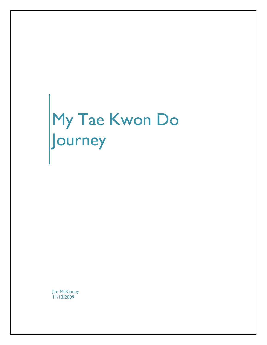## My Tae Kwon Do Journey

**Jim McKinney** 11/13/2009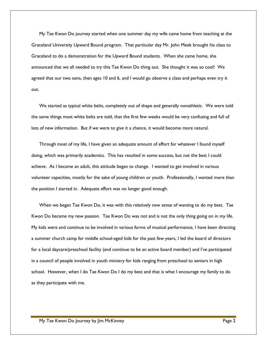My Tae Kwon Do journey started when one summer day my wife came home from teaching at the Graceland University Upward Bound program. That particular day Mr. John Meek brought his class to Graceland to do a demonstration for the Upward Bound students. When she came home, she announced that we all needed to try this Tae Kwon Do thing out. She thought it was so cool! We agreed that our two sons, then ages 10 and 6, and I would go observe a class and perhaps even try it out.

We started as typical white belts, completely out of shape and generally nonathletic. We were told the same things most white belts are told, that the first few weeks would be very confusing and full of lots of new information. But if we were to give it a chance, it would become more natural.

Through most of my life, I have given an adequate amount of effort for whatever I found myself doing, which was primarily academics. This has resulted in some success, but not the best I could achieve. As I became an adult, this attitude began to change. I wanted to get involved in various volunteer capacities, mostly for the sake of young children or youth. Professionally, I wanted more than the position I started in. Adequate effort was no longer good enough.

When we began Tae Kwon Do, it was with this relatively new sense of wanting to do my best. Tae Kwon Do became my new passion. Tae Kwon Do was not and is not the only thing going on in my life. My kids were and continue to be involved in various forms of musical performance, I have been directing a summer church camp for middle school-aged kids for the past few years, I led the board of directors for a local daycare/preschool facility (and continue to be an active board member) and I've participated in a council of people involved in youth ministry for kids ranging from preschool to seniors in high school. However, when I do Tae Kwon Do I do my best and that is what I encourage my family to do as they participate with me.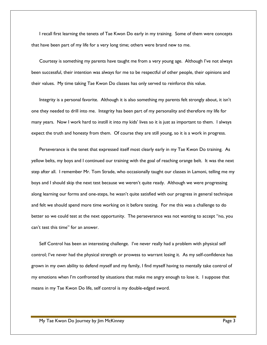I recall first learning the tenets of Tae Kwon Do early in my training. Some of them were concepts that have been part of my life for a very long time; others were brand new to me.

Courtesy is something my parents have taught me from a very young age. Although I've not always been successful, their intention was always for me to be respectful of other people, their opinions and their values. My time taking Tae Kwon Do classes has only served to reinforce this value.

Integrity is a personal favorite. Although it is also something my parents felt strongly about, it isn't one they needed to drill into me. Integrity has been part of my personality and therefore my life for many years. Now I work hard to instill it into my kids' lives so it is just as important to them. I always expect the truth and honesty from them. Of course they are still young, so it is a work in progress.

Perseverance is the tenet that expressed itself most clearly early in my Tae Kwon Do training. As yellow belts, my boys and I continued our training with the goal of reaching orange belt. It was the next step after all. I remember Mr. Tom Strade, who occasionally taught our classes in Lamoni, telling me my boys and I should skip the next test because we weren't quite ready. Although we were progressing along learning our forms and one-steps, he wasn't quite satisfied with our progress in general technique and felt we should spend more time working on it before testing. For me this was a challenge to do better so we could test at the next opportunity. The perseverance was not wanting to accept "no, you can't test this time" for an answer.

Self Control has been an interesting challenge. I've never really had a problem with physical self control; I've never had the physical strength or prowess to warrant losing it. As my self-confidence has grown in my own ability to defend myself and my family, I find myself having to mentally take control of my emotions when I'm confronted by situations that make me angry enough to lose it. I suppose that means in my Tae Kwon Do life, self control is my double-edged sword.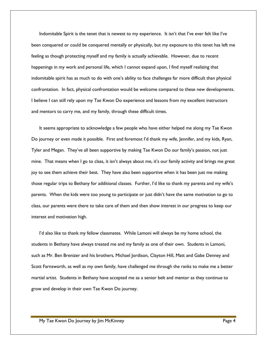Indomitable Spirit is the tenet that is newest to my experience. It isn't that I've ever felt like I've been conquered or could be conquered mentally or physically, but my exposure to this tenet has left me feeling as though protecting myself and my family is actually achievable. However, due to recent happenings in my work and personal life, which I cannot expand upon, I find myself realizing that indomitable spirit has as much to do with one's ability to face challenges far more difficult than physical confrontation. In fact, physical confrontation would be welcome compared to these new developments. I believe I can still rely upon my Tae Kwon Do experience and lessons from my excellent instructors and mentors to carry me, and my family, through these difficult times.

It seems appropriate to acknowledge a few people who have either helped me along my Tae Kwon Do journey or even made it possible. First and foremost I'd thank my wife, Jennifer, and my kids, Ryan, Tyler and Megan. They've all been supportive by making Tae Kwon Do our family's passion, not just mine. That means when I go to class, it isn't always about me, it's our family activity and brings me great joy to see them achieve their best. They have also been supportive when it has been just me making those regular trips to Bethany for additional classes. Further, I'd like to thank my parents and my wife's parents. When the kids were too young to participate or just didn't have the same motivation to go to class, our parents were there to take care of them and then show interest in our progress to keep our interest and motivation high.

I'd also like to thank my fellow classmates. While Lamoni will always be my home school, the students in Bethany have always treated me and my family as one of their own. Students in Lamoni, such as Mr. Ben Brenizer and his brothers, Michael Jordison, Clayton Hill, Matt and Gabe Denney and Scott Farnsworth, as well as my own family, have challenged me through the ranks to make me a better martial artist. Students in Bethany have accepted me as a senior belt and mentor as they continue to grow and develop in their own Tae Kwon Do journey.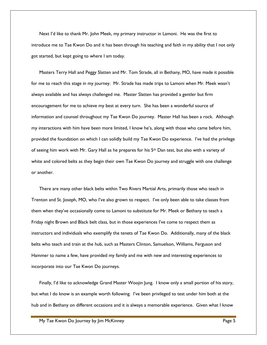Next I'd like to thank Mr. John Meek, my primary instructor in Lamoni. He was the first to introduce me to Tae Kwon Do and it has been through his teaching and faith in my ability that I not only got started, but kept going to where I am today.

Masters Terry Hall and Peggy Slatten and Mr. Tom Strade, all in Bethany, MO, have made it possible for me to reach this stage in my journey. Mr. Strade has made trips to Lamoni when Mr. Meek wasn't always available and has always challenged me. Master Slatten has provided a gentler but firm encouragement for me to achieve my best at every turn. She has been a wonderful source of information and counsel throughout my Tae Kwon Do journey. Master Hall has been a rock. Although my interactions with him have been more limited, I know he's, along with those who came before him, provided the foundation on which I can solidly build my Tae Kwon Do experience. I've had the privilege of seeing him work with Mr. Gary Hall as he prepares for his 5th Dan test, but also with a variety of white and colored belts as they begin their own Tae Kwon Do journey and struggle with one challenge or another.

There are many other black belts within Two Rivers Martial Arts, primarily those who teach in Trenton and St. Joseph, MO, who I've also grown to respect. I've only been able to take classes from them when they've occasionally come to Lamoni to substitute for Mr. Meek or Bethany to teach a Friday night Brown and Black belt class, but in those experiences I've come to respect them as instructors and individuals who exemplify the tenets of Tae Kwon Do. Additionally, many of the black belts who teach and train at the hub, such as Masters Clinton, Samuelson, Williams, Ferguson and Hammer to name a few, have provided my family and me with new and interesting experiences to incorporate into our Tae Kwon Do journeys.

Finally, I'd like to acknowledge Grand Master Woojin Jung. I know only a small portion of his story, but what I do know is an example worth following. I've been privileged to test under him both at the hub and in Bethany on different occasions and it is always a memorable experience. Given what I know